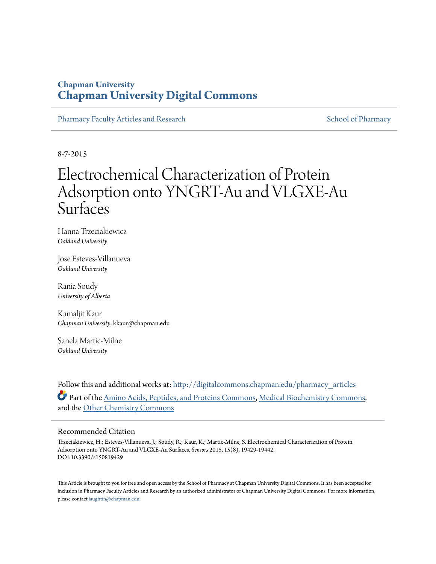### **Chapman University [Chapman University Digital Commons](http://digitalcommons.chapman.edu?utm_source=digitalcommons.chapman.edu%2Fpharmacy_articles%2F196&utm_medium=PDF&utm_campaign=PDFCoverPages)**

[Pharmacy Faculty Articles and Research](http://digitalcommons.chapman.edu/pharmacy_articles?utm_source=digitalcommons.chapman.edu%2Fpharmacy_articles%2F196&utm_medium=PDF&utm_campaign=PDFCoverPages) [School of Pharmacy](http://digitalcommons.chapman.edu/cusp?utm_source=digitalcommons.chapman.edu%2Fpharmacy_articles%2F196&utm_medium=PDF&utm_campaign=PDFCoverPages)

8-7-2015

# Electrochemical Characterization of Protein Adsorption onto YNGRT-Au and VLGXE-Au **Surfaces**

Hanna Trzeciakiewicz *Oakland University*

Jose Esteves-Villanueva *Oakland University*

Rania Soudy *University of Alberta*

Kamaljit Kaur *Chapman University*, kkaur@chapman.edu

Sanela Martic-Milne *Oakland University*

Follow this and additional works at: [http://digitalcommons.chapman.edu/pharmacy\\_articles](http://digitalcommons.chapman.edu/pharmacy_articles?utm_source=digitalcommons.chapman.edu%2Fpharmacy_articles%2F196&utm_medium=PDF&utm_campaign=PDFCoverPages) Part of the [Amino Acids, Peptides, and Proteins Commons](http://network.bepress.com/hgg/discipline/954?utm_source=digitalcommons.chapman.edu%2Fpharmacy_articles%2F196&utm_medium=PDF&utm_campaign=PDFCoverPages), [Medical Biochemistry Commons,](http://network.bepress.com/hgg/discipline/666?utm_source=digitalcommons.chapman.edu%2Fpharmacy_articles%2F196&utm_medium=PDF&utm_campaign=PDFCoverPages) and the [Other Chemistry Commons](http://network.bepress.com/hgg/discipline/141?utm_source=digitalcommons.chapman.edu%2Fpharmacy_articles%2F196&utm_medium=PDF&utm_campaign=PDFCoverPages)

#### Recommended Citation

Trzeciakiewicz, H.; Esteves-Villanueva, J.; Soudy, R.; Kaur, K.; Martic-Milne, S. Electrochemical Characterization of Protein Adsorption onto YNGRT-Au and VLGXE-Au Surfaces. *Sensors* 2015, 15(8), 19429-19442. DOI:10.3390/s150819429

This Article is brought to you for free and open access by the School of Pharmacy at Chapman University Digital Commons. It has been accepted for inclusion in Pharmacy Faculty Articles and Research by an authorized administrator of Chapman University Digital Commons. For more information, please contact [laughtin@chapman.edu.](mailto:laughtin@chapman.edu)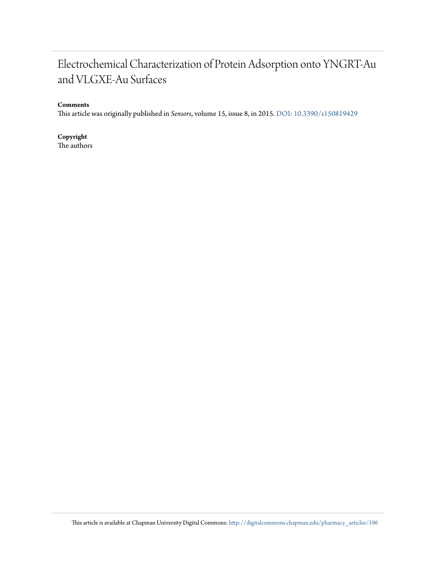# Electrochemical Characterization of Protein Adsorption onto YNGRT-Au and VLGXE-Au Surfaces

#### **Comments**

This article was originally published in *Sensors*, volume 15, issue 8, in 2015. [DOI: 10.3390/s150819429](http://dx.doi.org/10.3390/s150819429)

**Copyright** The authors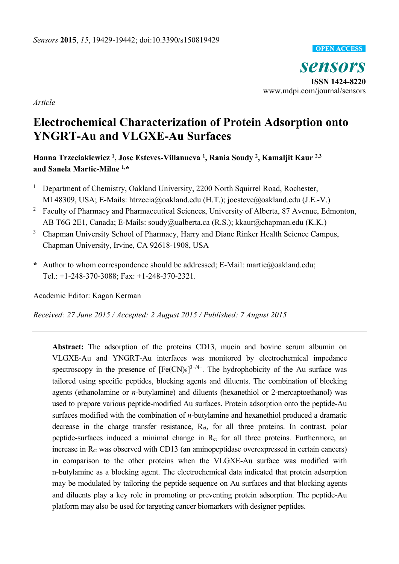

*Article* 

# **Electrochemical Characterization of Protein Adsorption onto YNGRT-Au and VLGXE-Au Surfaces**

**Hanna Trzeciakiewicz 1, Jose Esteves-Villanueva 1, Rania Soudy 2, Kamaljit Kaur 2,3 and Sanela Martic-Milne 1,\*** 

- 1 Department of Chemistry, Oakland University, 2200 North Squirrel Road, Rochester, MI 48309, USA; E-Mails: htrzecia@oakland.edu (H.T.); joesteve@oakland.edu (J.E.-V.)
- <sup>2</sup> Faculty of Pharmacy and Pharmaceutical Sciences, University of Alberta, 87 Avenue, Edmonton, AB T6G 2E1, Canada; E-Mails: soudy@ualberta.ca (R.S.); kkaur@chapman.edu (K.K.)
- 3 Chapman University School of Pharmacy, Harry and Diane Rinker Health Science Campus, Chapman University, Irvine, CA 92618-1908, USA
- **\*** Author to whom correspondence should be addressed; E-Mail: martic@oakland.edu; Tel.: +1-248-370-3088; Fax: +1-248-370-2321.

Academic Editor: Kagan Kerman

*Received: 27 June 2015 / Accepted: 2 August 2015 / Published: 7 August 2015* 

**Abstract:** The adsorption of the proteins CD13, mucin and bovine serum albumin on VLGXE-Au and YNGRT-Au interfaces was monitored by electrochemical impedance spectroscopy in the presence of  $[Fe(CN)_6]^{3-4}$ . The hydrophobicity of the Au surface was tailored using specific peptides, blocking agents and diluents. The combination of blocking agents (ethanolamine or *n*-butylamine) and diluents (hexanethiol or 2-mercaptoethanol) was used to prepare various peptide-modified Au surfaces. Protein adsorption onto the peptide-Au surfaces modified with the combination of *n*-butylamine and hexanethiol produced a dramatic decrease in the charge transfer resistance, Rct, for all three proteins. In contrast, polar peptide-surfaces induced a minimal change in R<sub>ct</sub> for all three proteins. Furthermore, an increase in R<sub>ct</sub> was observed with CD13 (an aminopeptidase overexpressed in certain cancers) in comparison to the other proteins when the VLGXE-Au surface was modified with n-butylamine as a blocking agent. The electrochemical data indicated that protein adsorption may be modulated by tailoring the peptide sequence on Au surfaces and that blocking agents and diluents play a key role in promoting or preventing protein adsorption. The peptide-Au platform may also be used for targeting cancer biomarkers with designer peptides.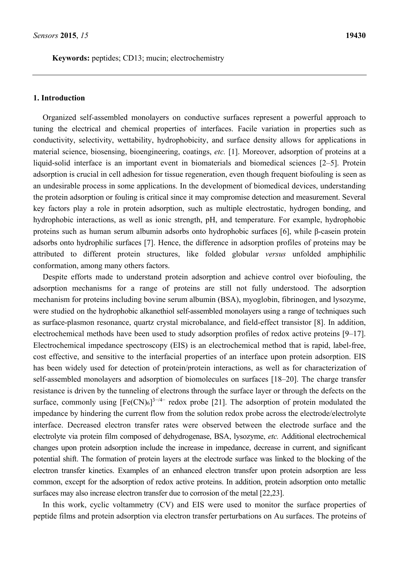**Keywords:** peptides; CD13; mucin; electrochemistry

#### **1. Introduction**

Organized self-assembled monolayers on conductive surfaces represent a powerful approach to tuning the electrical and chemical properties of interfaces. Facile variation in properties such as conductivity, selectivity, wettability, hydrophobicity, and surface density allows for applications in material science, biosensing, bioengineering, coatings, *etc.* [1]. Moreover, adsorption of proteins at a liquid-solid interface is an important event in biomaterials and biomedical sciences [2–5]. Protein adsorption is crucial in cell adhesion for tissue regeneration, even though frequent biofouling is seen as an undesirable process in some applications. In the development of biomedical devices, understanding the protein adsorption or fouling is critical since it may compromise detection and measurement. Several key factors play a role in protein adsorption, such as multiple electrostatic, hydrogen bonding, and hydrophobic interactions, as well as ionic strength, pH, and temperature. For example, hydrophobic proteins such as human serum albumin adsorbs onto hydrophobic surfaces [6], while β-casein protein adsorbs onto hydrophilic surfaces [7]. Hence, the difference in adsorption profiles of proteins may be attributed to different protein structures, like folded globular *versus* unfolded amphiphilic conformation, among many others factors.

Despite efforts made to understand protein adsorption and achieve control over biofouling, the adsorption mechanisms for a range of proteins are still not fully understood. The adsorption mechanism for proteins including bovine serum albumin (BSA), myoglobin, fibrinogen, and lysozyme, were studied on the hydrophobic alkanethiol self-assembled monolayers using a range of techniques such as surface-plasmon resonance, quartz crystal microbalance, and field-effect transistor [8]. In addition, electrochemical methods have been used to study adsorption profiles of redox active proteins [9–17]. Electrochemical impedance spectroscopy (EIS) is an electrochemical method that is rapid, label-free, cost effective, and sensitive to the interfacial properties of an interface upon protein adsorption. EIS has been widely used for detection of protein/protein interactions, as well as for characterization of self-assembled monolayers and adsorption of biomolecules on surfaces [18–20]. The charge transfer resistance is driven by the tunneling of electrons through the surface layer or through the defects on the surface, commonly using  $[Fe(CN)_6]^{3-4-}$  redox probe [21]. The adsorption of protein modulated the impedance by hindering the current flow from the solution redox probe across the electrode/electrolyte interface. Decreased electron transfer rates were observed between the electrode surface and the electrolyte via protein film composed of dehydrogenase, BSA, lysozyme, *etc.* Additional electrochemical changes upon protein adsorption include the increase in impedance, decrease in current, and significant potential shift. The formation of protein layers at the electrode surface was linked to the blocking of the electron transfer kinetics. Examples of an enhanced electron transfer upon protein adsorption are less common, except for the adsorption of redox active proteins. In addition, protein adsorption onto metallic surfaces may also increase electron transfer due to corrosion of the metal [22,23].

In this work, cyclic voltammetry (CV) and EIS were used to monitor the surface properties of peptide films and protein adsorption via electron transfer perturbations on Au surfaces. The proteins of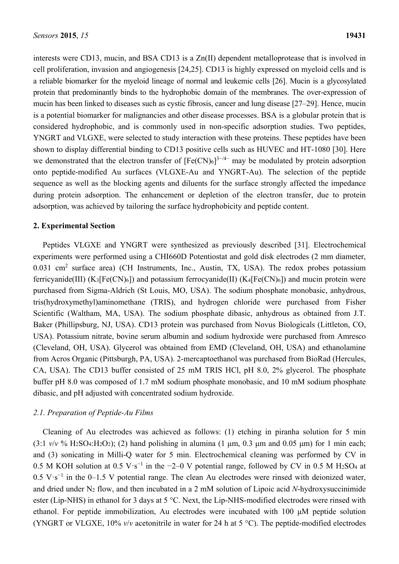interests were CD13, mucin, and BSA CD13 is a Zn(II) dependent metalloprotease that is involved in cell proliferation, invasion and angiogenesis [24,25]. CD13 is highly expressed on myeloid cells and is a reliable biomarker for the myeloid lineage of normal and leukemic cells [26]. Mucin is a glycosylated protein that predominantly binds to the hydrophobic domain of the membranes. The over-expression of mucin has been linked to diseases such as cystic fibrosis, cancer and lung disease [27–29]. Hence, mucin is a potential biomarker for malignancies and other disease processes. BSA is a globular protein that is considered hydrophobic, and is commonly used in non-specific adsorption studies. Two peptides, YNGRT and VLGXE, were selected to study interaction with these proteins. These peptides have been shown to display differential binding to CD13 positive cells such as HUVEC and HT-1080 [30]. Here we demonstrated that the electron transfer of  $[Fe(CN)_6]^{3-4-}$  may be modulated by protein adsorption onto peptide-modified Au surfaces (VLGXE-Au and YNGRT-Au). The selection of the peptide sequence as well as the blocking agents and diluents for the surface strongly affected the impedance during protein adsorption. The enhancement or depletion of the electron transfer, due to protein adsorption, was achieved by tailoring the surface hydrophobicity and peptide content.

#### **2. Experimental Section**

Peptides VLGXE and YNGRT were synthesized as previously described [31]. Electrochemical experiments were performed using a CHI660D Potentiostat and gold disk electrodes (2 mm diameter, 0.031 cm<sup>2</sup> surface area) (CH Instruments, Inc., Austin, TX, USA). The redox probes potassium ferricyanide(III)  $(K_3[Fe(CN)_6])$  and potassium ferrocyanide(II)  $(K_4[Fe(CN)_6])$  and mucin protein were purchased from Sigma-Aldrich (St Louis, MO, USA). The sodium phosphate monobasic, anhydrous, tris(hydroxymethyl)aminomethane (TRIS), and hydrogen chloride were purchased from Fisher Scientific (Waltham, MA, USA). The sodium phosphate dibasic, anhydrous as obtained from J.T. Baker (Phillipsburg, NJ, USA). CD13 protein was purchased from Novus Biologicals (Littleton, CO, USA). Potassium nitrate, bovine serum albumin and sodium hydroxide were purchased from Amresco (Cleveland, OH, USA). Glycerol was obtained from EMD (Cleveland, OH, USA) and ethanolamine from Acros Organic (Pittsburgh, PA, USA). 2-mercaptoethanol was purchased from BioRad (Hercules, CA, USA). The CD13 buffer consisted of 25 mM TRIS HCl, pH 8.0, 2% glycerol. The phosphate buffer pH 8.0 was composed of 1.7 mM sodium phosphate monobasic, and 10 mM sodium phosphate dibasic, and pH adjusted with concentrated sodium hydroxide.

#### *2.1. Preparation of Peptide-Au Films*

Cleaning of Au electrodes was achieved as follows: (1) etching in piranha solution for 5 min  $(3:1 \frac{v}{v}$  % H<sub>2</sub>SO<sub>4</sub>:H<sub>2</sub>O<sub>2</sub>); (2) hand polishing in alumina (1 µm, 0.3 µm and 0.05 µm) for 1 min each; and (3) sonicating in Milli-Q water for 5 min. Electrochemical cleaning was performed by CV in 0.5 M KOH solution at 0.5 V·s<sup>-1</sup> in the -2–0 V potential range, followed by CV in 0.5 M H<sub>2</sub>SO<sub>4</sub> at 0.5 V·s<sup>−</sup><sup>1</sup> in the 0–1.5 V potential range. The clean Au electrodes were rinsed with deionized water, and dried under N2 flow, and then incubated in a 2 mM solution of Lipoic acid *N*-hydroxysuccinimide ester (Lip-NHS) in ethanol for 3 days at 5 °C. Next, the Lip-NHS-modified electrodes were rinsed with ethanol. For peptide immobilization, Au electrodes were incubated with 100 μM peptide solution (YNGRT or VLGXE, 10% *v*/*v* acetonitrile in water for 24 h at 5 °C). The peptide-modified electrodes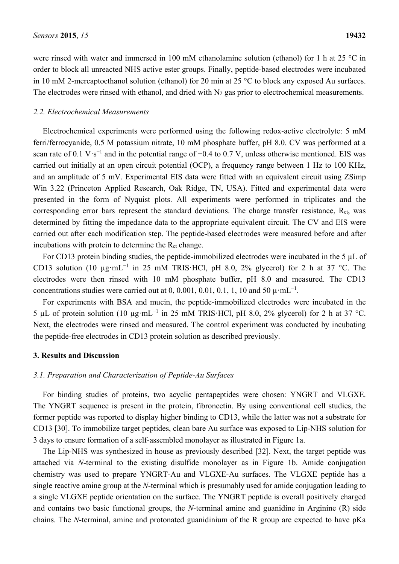were rinsed with water and immersed in 100 mM ethanolamine solution (ethanol) for 1 h at 25 °C in order to block all unreacted NHS active ester groups. Finally, peptide-based electrodes were incubated in 10 mM 2-mercaptoethanol solution (ethanol) for 20 min at 25 °C to block any exposed Au surfaces. The electrodes were rinsed with ethanol, and dried with  $N_2$  gas prior to electrochemical measurements.

#### *2.2. Electrochemical Measurements*

Electrochemical experiments were performed using the following redox-active electrolyte: 5 mM ferri/ferrocyanide, 0.5 M potassium nitrate, 10 mM phosphate buffer, pH 8.0. CV was performed at a scan rate of 0.1 V·s<sup>-1</sup> and in the potential range of  $-0.4$  to 0.7 V, unless otherwise mentioned. EIS was carried out initially at an open circuit potential (OCP), a frequency range between 1 Hz to 100 KHz, and an amplitude of 5 mV. Experimental EIS data were fitted with an equivalent circuit using ZSimp Win 3.22 (Princeton Applied Research, Oak Ridge, TN, USA). Fitted and experimental data were presented in the form of Nyquist plots. All experiments were performed in triplicates and the corresponding error bars represent the standard deviations. The charge transfer resistance, R<sub>ct</sub>, was determined by fitting the impedance data to the appropriate equivalent circuit. The CV and EIS were carried out after each modification step. The peptide-based electrodes were measured before and after incubations with protein to determine the  $R_{ct}$  change.

For CD13 protein binding studies, the peptide-immobilized electrodes were incubated in the 5 µL of CD13 solution (10  $\mu$ g·mL<sup>-1</sup> in 25 mM TRIS·HCl, pH 8.0, 2% glycerol) for 2 h at 37 °C. The electrodes were then rinsed with 10 mM phosphate buffer, pH 8.0 and measured. The CD13 concentrations studies were carried out at 0, 0.001, 0.01, 0.1, 1, 10 and 50  $\mu$ ·mL<sup>-1</sup>.

For experiments with BSA and mucin, the peptide-immobilized electrodes were incubated in the 5 μL of protein solution (10 μg·mL<sup>-1</sup> in 25 mM TRIS·HCl, pH 8.0, 2% glycerol) for 2 h at 37 °C. Next, the electrodes were rinsed and measured. The control experiment was conducted by incubating the peptide-free electrodes in CD13 protein solution as described previously.

#### **3. Results and Discussion**

#### *3.1. Preparation and Characterization of Peptide-Au Surfaces*

For binding studies of proteins, two acyclic pentapeptides were chosen: YNGRT and VLGXE. The YNGRT sequence is present in the protein, fibronectin. By using conventional cell studies, the former peptide was reported to display higher binding to CD13, while the latter was not a substrate for CD13 [30]. To immobilize target peptides, clean bare Au surface was exposed to Lip-NHS solution for 3 days to ensure formation of a self-assembled monolayer as illustrated in Figure 1a.

The Lip-NHS was synthesized in house as previously described [32]. Next, the target peptide was attached via *N*-terminal to the existing disulfide monolayer as in Figure 1b. Amide conjugation chemistry was used to prepare YNGRT-Au and VLGXE-Au surfaces. The VLGXE peptide has a single reactive amine group at the *N*-terminal which is presumably used for amide conjugation leading to a single VLGXE peptide orientation on the surface. The YNGRT peptide is overall positively charged and contains two basic functional groups, the *N*-terminal amine and guanidine in Arginine (R) side chains. The *N*-terminal, amine and protonated guanidinium of the R group are expected to have pKa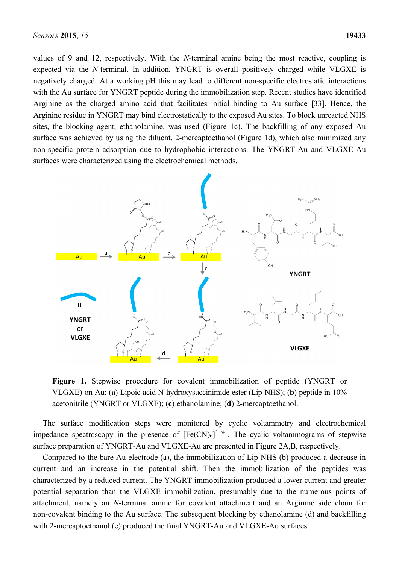values of 9 and 12, respectively. With the *N*-terminal amine being the most reactive, coupling is expected via the *N*-terminal. In addition, YNGRT is overall positively charged while VLGXE is negatively charged. At a working pH this may lead to different non-specific electrostatic interactions with the Au surface for YNGRT peptide during the immobilization step. Recent studies have identified Arginine as the charged amino acid that facilitates initial binding to Au surface [33]. Hence, the Arginine residue in YNGRT may bind electrostatically to the exposed Au sites. To block unreacted NHS sites, the blocking agent, ethanolamine, was used (Figure 1c). The backfilling of any exposed Au surface was achieved by using the diluent, 2-mercaptoethanol (Figure 1d), which also minimized any non-specific protein adsorption due to hydrophobic interactions. The YNGRT-Au and VLGXE-Au surfaces were characterized using the electrochemical methods.



**Figure 1.** Stepwise procedure for covalent immobilization of peptide (YNGRT or VLGXE) on Au: (**a**) Lipoic acid N-hydroxysuccinimide ester (Lip-NHS); (**b**) peptide in 10% acetonitrile (YNGRT or VLGXE); (**c**) ethanolamine; (**d**) 2-mercaptoethanol.

The surface modification steps were monitored by cyclic voltammetry and electrochemical impedance spectroscopy in the presence of  $[Fe(CN)_6]^{3-4}$ . The cyclic voltammograms of stepwise surface preparation of YNGRT-Au and VLGXE-Au are presented in Figure 2A,B, respectively.

Compared to the bare Au electrode (a), the immobilization of Lip-NHS (b) produced a decrease in current and an increase in the potential shift. Then the immobilization of the peptides was characterized by a reduced current. The YNGRT immobilization produced a lower current and greater potential separation than the VLGXE immobilization, presumably due to the numerous points of attachment, namely an *N*-terminal amine for covalent attachment and an Arginine side chain for non-covalent binding to the Au surface. The subsequent blocking by ethanolamine (d) and backfilling with 2-mercaptoethanol (e) produced the final YNGRT-Au and VLGXE-Au surfaces.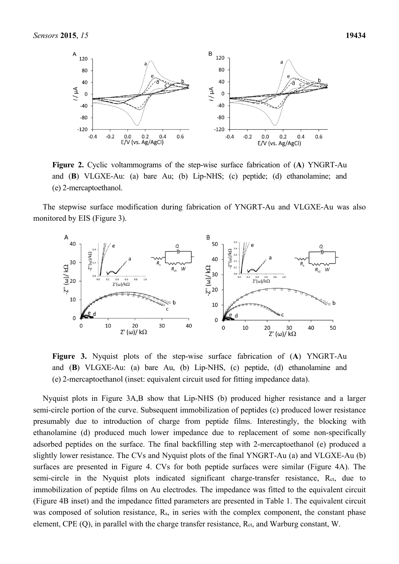

**Figure 2.** Cyclic voltammograms of the step-wise surface fabrication of (**A**) YNGRT-Au and (**B**) VLGXE-Au: (a) bare Au; (b) Lip-NHS; (c) peptide; (d) ethanolamine; and (e) 2-mercaptoethanol.

The stepwise surface modification during fabrication of YNGRT-Au and VLGXE-Au was also monitored by EIS (Figure 3).



**Figure 3.** Nyquist plots of the step-wise surface fabrication of (**A**) YNGRT-Au and (**B**) VLGXE-Au: (a) bare Au, (b) Lip-NHS, (c) peptide, (d) ethanolamine and (e) 2-mercaptoethanol (inset: equivalent circuit used for fitting impedance data).

Nyquist plots in Figure 3A,B show that Lip-NHS (b) produced higher resistance and a larger semi-circle portion of the curve. Subsequent immobilization of peptides (c) produced lower resistance presumably due to introduction of charge from peptide films. Interestingly, the blocking with ethanolamine (d) produced much lower impedance due to replacement of some non-specifically adsorbed peptides on the surface. The final backfilling step with 2-mercaptoethanol (e) produced a slightly lower resistance. The CVs and Nyquist plots of the final YNGRT-Au (a) and VLGXE-Au (b) surfaces are presented in Figure 4. CVs for both peptide surfaces were similar (Figure 4A). The semi-circle in the Nyquist plots indicated significant charge-transfer resistance, R<sub>ct</sub>, due to immobilization of peptide films on Au electrodes. The impedance was fitted to the equivalent circuit (Figure 4B inset) and the impedance fitted parameters are presented in Table 1. The equivalent circuit was composed of solution resistance, R<sub>s</sub>, in series with the complex component, the constant phase element, CPE (Q), in parallel with the charge transfer resistance, R<sub>ct</sub>, and Warburg constant, W.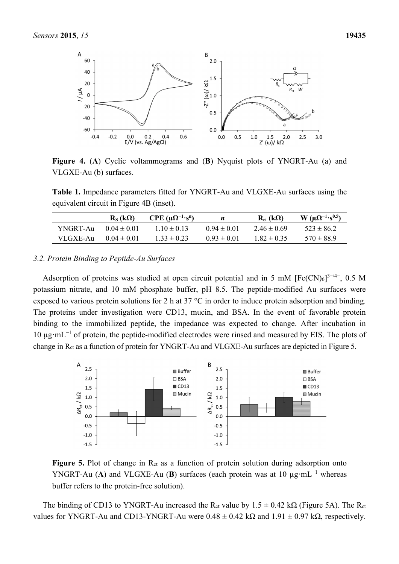

**Figure 4.** (**A**) Cyclic voltammograms and (**B**) Nyquist plots of YNGRT-Au (a) and VLGXE-Au (b) surfaces.

**Table 1.** Impedance parameters fitted for YNGRT-Au and VLGXE-Au surfaces using the equivalent circuit in Figure 4B (inset).

|           | $R_s$ (kΩ)         | $CPE (\mu \Omega^{-1} \cdot s^n)$ |                 | $R_{ct}$ (kΩ)   | $W (μΩ-1·s0.5)$ |
|-----------|--------------------|-----------------------------------|-----------------|-----------------|-----------------|
| YNGRT-Au- | $(1)(14 \pm 0)1$   | $110 \pm 013$                     | $0.94 \pm 0.01$ | $2.46 \pm 0.69$ | $523 \pm 86.2$  |
| VLGXE-Au- | $(10.04 \pm 0.01)$ | $1.33 \pm 0.23$                   | $0.93 \pm 0.01$ | $1.82 \pm 0.35$ | $570 \pm 88.9$  |

#### *3.2. Protein Binding to Peptide-Au Surfaces*

Adsorption of proteins was studied at open circuit potential and in 5 mM  $[Fe(CN)_6]^{3-/4-}$ , 0.5 M potassium nitrate, and 10 mM phosphate buffer, pH 8.5. The peptide-modified Au surfaces were exposed to various protein solutions for 2 h at 37 °C in order to induce protein adsorption and binding. The proteins under investigation were CD13, mucin, and BSA. In the event of favorable protein binding to the immobilized peptide, the impedance was expected to change. After incubation in 10 µg·mL<sup>−</sup><sup>1</sup> of protein, the peptide-modified electrodes were rinsed and measured by EIS. The plots of change in Rct as a function of protein for YNGRT-Au and VLGXE-Au surfaces are depicted in Figure 5.



**Figure 5.** Plot of change in R<sub>ct</sub> as a function of protein solution during adsorption onto YNGRT-Au (A) and VLGXE-Au (B) surfaces (each protein was at 10  $\mu$ g·mL<sup>-1</sup> whereas buffer refers to the protein-free solution).

The binding of CD13 to YNGRT-Au increased the R<sub>ct</sub> value by  $1.5 \pm 0.42$  kΩ (Figure 5A). The R<sub>ct</sub> values for YNGRT-Au and CD13-YNGRT-Au were  $0.48 \pm 0.42$  k $\Omega$  and  $1.91 \pm 0.97$  k $\Omega$ , respectively.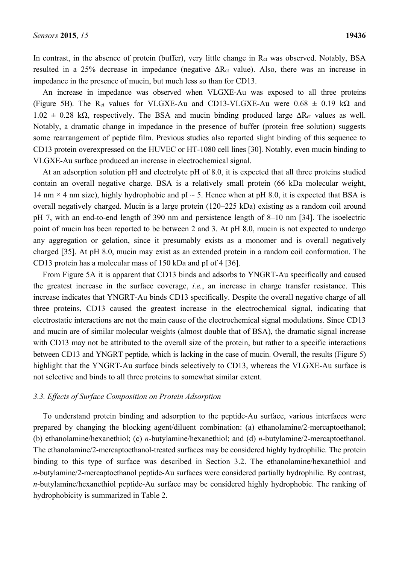In contrast, in the absence of protein (buffer), very little change in R<sub>ct</sub> was observed. Notably, BSA resulted in a 25% decrease in impedance (negative  $\Delta R_{ct}$  value). Also, there was an increase in impedance in the presence of mucin, but much less so than for CD13.

An increase in impedance was observed when VLGXE-Au was exposed to all three proteins (Figure 5B). The R<sub>ct</sub> values for VLGXE-Au and CD13-VLGXE-Au were  $0.68 \pm 0.19$  kΩ and  $1.02 \pm 0.28$  kΩ, respectively. The BSA and mucin binding produced large  $\Delta R_{\text{ct}}$  values as well. Notably, a dramatic change in impedance in the presence of buffer (protein free solution) suggests some rearrangement of peptide film. Previous studies also reported slight binding of this sequence to CD13 protein overexpressed on the HUVEC or HT-1080 cell lines [30]. Notably, even mucin binding to VLGXE-Au surface produced an increase in electrochemical signal.

At an adsorption solution pH and electrolyte pH of 8.0, it is expected that all three proteins studied contain an overall negative charge. BSA is a relatively small protein (66 kDa molecular weight, 14 nm  $\times$  4 nm size), highly hydrophobic and pI  $\sim$  5. Hence when at pH 8.0, it is expected that BSA is overall negatively charged. Mucin is a large protein (120–225 kDa) existing as a random coil around pH 7, with an end-to-end length of 390 nm and persistence length of 8–10 nm [34]. The isoelectric point of mucin has been reported to be between 2 and 3. At pH 8.0, mucin is not expected to undergo any aggregation or gelation, since it presumably exists as a monomer and is overall negatively charged [35]. At pH 8.0, mucin may exist as an extended protein in a random coil conformation. The CD13 protein has a molecular mass of 150 kDa and pI of 4 [36].

From Figure 5A it is apparent that CD13 binds and adsorbs to YNGRT-Au specifically and caused the greatest increase in the surface coverage, *i.e.*, an increase in charge transfer resistance. This increase indicates that YNGRT-Au binds CD13 specifically. Despite the overall negative charge of all three proteins, CD13 caused the greatest increase in the electrochemical signal, indicating that electrostatic interactions are not the main cause of the electrochemical signal modulations. Since CD13 and mucin are of similar molecular weights (almost double that of BSA), the dramatic signal increase with CD13 may not be attributed to the overall size of the protein, but rather to a specific interactions between CD13 and YNGRT peptide, which is lacking in the case of mucin. Overall, the results (Figure 5) highlight that the YNGRT-Au surface binds selectively to CD13, whereas the VLGXE-Au surface is not selective and binds to all three proteins to somewhat similar extent.

#### *3.3. Effects of Surface Composition on Protein Adsorption*

To understand protein binding and adsorption to the peptide-Au surface, various interfaces were prepared by changing the blocking agent/diluent combination: (a) ethanolamine/2-mercaptoethanol; (b) ethanolamine/hexanethiol; (c) *n*-butylamine/hexanethiol; and (d) *n*-butylamine/2-mercaptoethanol. The ethanolamine/2-mercaptoethanol-treated surfaces may be considered highly hydrophilic. The protein binding to this type of surface was described in Section 3.2. The ethanolamine/hexanethiol and *n*-butylamine/2-mercaptoethanol peptide-Au surfaces were considered partially hydrophilic. By contrast, *n*-butylamine/hexanethiol peptide-Au surface may be considered highly hydrophobic. The ranking of hydrophobicity is summarized in Table 2.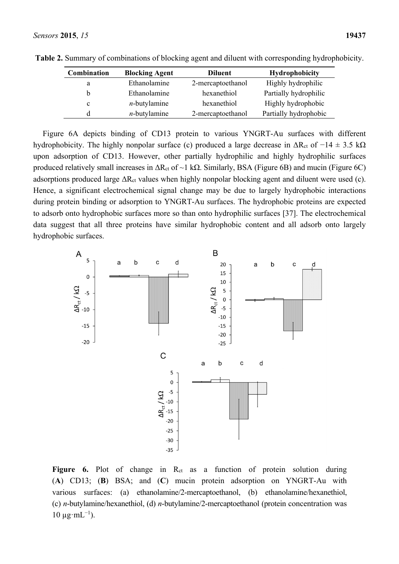| <b>Combination</b> | <b>Blocking Agent</b> | <b>Diluent</b>    | <b>Hydrophobicity</b> |
|--------------------|-----------------------|-------------------|-----------------------|
| a                  | Ethanolamine          | 2-mercaptoethanol | Highly hydrophilic    |
| b                  | Ethanolamine          | hexanethiol       | Partially hydrophilic |
| c                  | $n$ -butylamine       | hexanethiol       | Highly hydrophobic    |
| d                  | $n$ -butylamine       | 2-mercaptoethanol | Partially hydrophobic |

**Table 2.** Summary of combinations of blocking agent and diluent with corresponding hydrophobicity.

Figure 6A depicts binding of CD13 protein to various YNGRT-Au surfaces with different hydrophobicity. The highly nonpolar surface (c) produced a large decrease in  $\Delta R_{ct}$  of  $-14 \pm 3.5$  k $\Omega$ upon adsorption of CD13. However, other partially hydrophilic and highly hydrophilic surfaces produced relatively small increases in  $ΔR<sub>ct</sub>$  of  $~1$  kΩ. Similarly, BSA (Figure 6B) and mucin (Figure 6C) adsorptions produced large  $\Delta R_{ct}$  values when highly nonpolar blocking agent and diluent were used (c). Hence, a significant electrochemical signal change may be due to largely hydrophobic interactions during protein binding or adsorption to YNGRT-Au surfaces. The hydrophobic proteins are expected to adsorb onto hydrophobic surfaces more so than onto hydrophilic surfaces [37]. The electrochemical data suggest that all three proteins have similar hydrophobic content and all adsorb onto largely hydrophobic surfaces.



Figure 6. Plot of change in R<sub>ct</sub> as a function of protein solution during (**A**) CD13; (**B**) BSA; and (**C**) mucin protein adsorption on YNGRT-Au with various surfaces: (a) ethanolamine/2-mercaptoethanol, (b) ethanolamine/hexanethiol, (c) *n*-butylamine/hexanethiol, (d) *n*-butylamine/2-mercaptoethanol (protein concentration was  $10 \mu g·mL^{-1}$ ).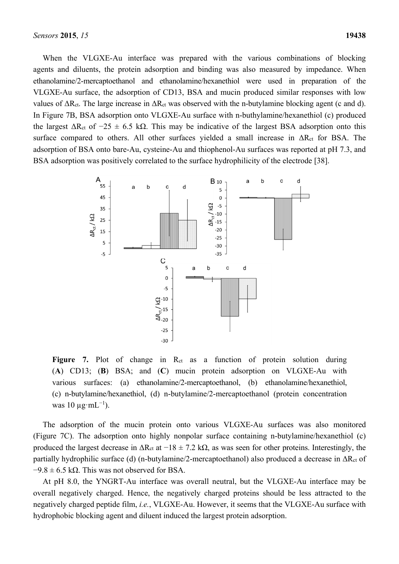When the VLGXE-Au interface was prepared with the various combinations of blocking agents and diluents, the protein adsorption and binding was also measured by impedance. When ethanolamine/2-mercaptoethanol and ethanolamine/hexanethiol were used in preparation of the VLGXE-Au surface, the adsorption of CD13, BSA and mucin produced similar responses with low values of  $\Delta R_{ct}$ . The large increase in  $\Delta R_{ct}$  was observed with the n-butylamine blocking agent (c and d). In Figure 7B, BSA adsorption onto VLGXE-Au surface with n-buthylamine/hexanethiol (c) produced the largest  $\Delta R_{ct}$  of  $-25 \pm 6.5$  kΩ. This may be indicative of the largest BSA adsorption onto this surface compared to others. All other surfaces yielded a small increase in  $\Delta R_{ct}$  for BSA. The adsorption of BSA onto bare-Au, cysteine-Au and thiophenol-Au surfaces was reported at pH 7.3, and BSA adsorption was positively correlated to the surface hydrophilicity of the electrode [38].



Figure 7. Plot of change in R<sub>ct</sub> as a function of protein solution during (**A**) CD13; (**B**) BSA; and (**C**) mucin protein adsorption on VLGXE-Au with various surfaces: (a) ethanolamine/2-mercaptoethanol, (b) ethanolamine/hexanethiol, (c) n-butylamine/hexanethiol, (d) n-butylamine/2-mercaptoethanol (protein concentration was 10  $\mu$ g·mL<sup>-1</sup>).

The adsorption of the mucin protein onto various VLGXE-Au surfaces was also monitored (Figure 7C). The adsorption onto highly nonpolar surface containing n-butylamine/hexanethiol (c) produced the largest decrease in  $ΔR<sub>ct</sub>$  at  $-18 \pm 7.2$  kΩ, as was seen for other proteins. Interestingly, the partially hydrophilic surface (d) (n-butylamine/2-mercaptoethanol) also produced a decrease in ΔRct of  $-9.8 \pm 6.5$  kΩ. This was not observed for BSA.

At pH 8.0, the YNGRT-Au interface was overall neutral, but the VLGXE-Au interface may be overall negatively charged. Hence, the negatively charged proteins should be less attracted to the negatively charged peptide film, *i.e.*, VLGXE-Au. However, it seems that the VLGXE-Au surface with hydrophobic blocking agent and diluent induced the largest protein adsorption.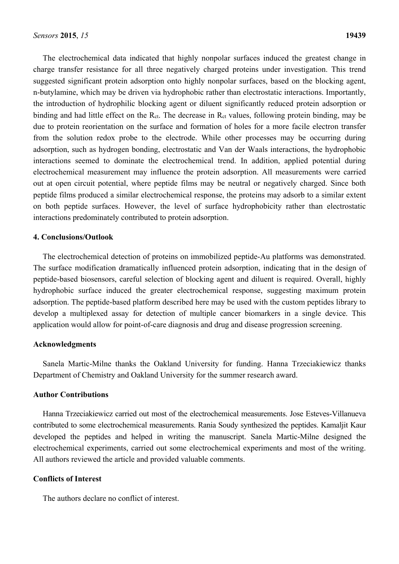The electrochemical data indicated that highly nonpolar surfaces induced the greatest change in charge transfer resistance for all three negatively charged proteins under investigation. This trend suggested significant protein adsorption onto highly nonpolar surfaces, based on the blocking agent, n-butylamine, which may be driven via hydrophobic rather than electrostatic interactions. Importantly, the introduction of hydrophilic blocking agent or diluent significantly reduced protein adsorption or binding and had little effect on the R<sub>ct</sub>. The decrease in R<sub>ct</sub> values, following protein binding, may be due to protein reorientation on the surface and formation of holes for a more facile electron transfer from the solution redox probe to the electrode. While other processes may be occurring during adsorption, such as hydrogen bonding, electrostatic and Van der Waals interactions, the hydrophobic interactions seemed to dominate the electrochemical trend. In addition, applied potential during electrochemical measurement may influence the protein adsorption. All measurements were carried out at open circuit potential, where peptide films may be neutral or negatively charged. Since both peptide films produced a similar electrochemical response, the proteins may adsorb to a similar extent on both peptide surfaces. However, the level of surface hydrophobicity rather than electrostatic interactions predominately contributed to protein adsorption.

#### **4. Conclusions/Outlook**

The electrochemical detection of proteins on immobilized peptide-Au platforms was demonstrated. The surface modification dramatically influenced protein adsorption, indicating that in the design of peptide-based biosensors, careful selection of blocking agent and diluent is required. Overall, highly hydrophobic surface induced the greater electrochemical response, suggesting maximum protein adsorption. The peptide-based platform described here may be used with the custom peptides library to develop a multiplexed assay for detection of multiple cancer biomarkers in a single device. This application would allow for point-of-care diagnosis and drug and disease progression screening.

#### **Acknowledgments**

Sanela Martic-Milne thanks the Oakland University for funding. Hanna Trzeciakiewicz thanks Department of Chemistry and Oakland University for the summer research award.

#### **Author Contributions**

Hanna Trzeciakiewicz carried out most of the electrochemical measurements. Jose Esteves-Villanueva contributed to some electrochemical measurements. Rania Soudy synthesized the peptides. Kamaljit Kaur developed the peptides and helped in writing the manuscript. Sanela Martic-Milne designed the electrochemical experiments, carried out some electrochemical experiments and most of the writing. All authors reviewed the article and provided valuable comments.

#### **Conflicts of Interest**

The authors declare no conflict of interest.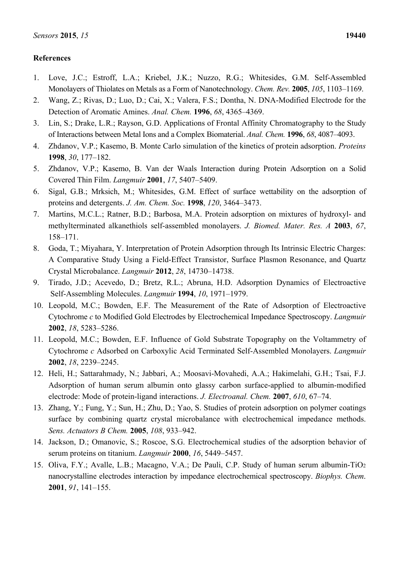### **References**

- 1. Love, J.C.; Estroff, L.A.; Kriebel, J.K.; Nuzzo, R.G.; Whitesides, G.M. Self-Assembled Monolayers of Thiolates on Metals as a Form of Nanotechnology. *Chem. Rev.* **2005**, *105*, 1103–1169.
- 2. Wang, Z.; Rivas, D.; Luo, D.; Cai, X.; Valera, F.S.; Dontha, N. DNA-Modified Electrode for the Detection of Aromatic Amines. *Anal. Chem.* **1996**, *68*, 4365–4369.
- 3. Lin, S.; Drake, L.R.; Rayson, G.D. Applications of Frontal Affinity Chromatography to the Study of Interactions between Metal Ions and a Complex Biomaterial. *Anal. Chem.* **1996**, *68*, 4087–4093.
- 4. Zhdanov, V.P.; Kasemo, B. Monte Carlo simulation of the kinetics of protein adsorption. *Proteins* **1998**, *30*, 177–182.
- 5. Zhdanov, V.P.; Kasemo, B. Van der Waals Interaction during Protein Adsorption on a Solid Covered Thin Film. *Langmuir* **2001**, *17*, 5407–5409.
- 6. Sigal, G.B.; Mrksich, M.; Whitesides, G.M. Effect of surface wettability on the adsorption of proteins and detergents. *J. Am. Chem. Soc.* **1998**, *120*, 3464–3473.
- 7. Martins, M.C.L.; Ratner, B.D.; Barbosa, M.A. Protein adsorption on mixtures of hydroxyl- and methylterminated alkanethiols self-assembled monolayers. *J. Biomed. Mater. Res. A* **2003**, *67*, 158–171.
- 8. Goda, T.; Miyahara, Y. Interpretation of Protein Adsorption through Its Intrinsic Electric Charges: A Comparative Study Using a Field-Effect Transistor, Surface Plasmon Resonance, and Quartz Crystal Microbalance. *Langmuir* **2012**, *28*, 14730–14738.
- 9. Tirado, J.D.; Acevedo, D.; Bretz, R.L.; Abruna, H.D. Adsorption Dynamics of Electroactive Self-Assembling Molecules. *Langmuir* **1994**, *10*, 1971–1979.
- 10. Leopold, M.C.; Bowden, E.F. The Measurement of the Rate of Adsorption of Electroactive Cytochrome *c* to Modified Gold Electrodes by Electrochemical Impedance Spectroscopy. *Langmuir* **2002**, *18*, 5283–5286.
- 11. Leopold, M.C.; Bowden, E.F. Influence of Gold Substrate Topography on the Voltammetry of Cytochrome *c* Adsorbed on Carboxylic Acid Terminated Self-Assembled Monolayers. *Langmuir* **2002**, *18*, 2239–2245.
- 12. Heli, H.; Sattarahmady, N.; Jabbari, A.; Moosavi-Movahedi, A.A.; Hakimelahi, G.H.; Tsai, F.J. Adsorption of human serum albumin onto glassy carbon surface-applied to albumin-modified electrode: Mode of protein-ligand interactions. *J. Electroanal. Chem.* **2007**, *610*, 67–74.
- 13. Zhang, Y.; Fung, Y.; Sun, H.; Zhu, D.; Yao, S. Studies of protein adsorption on polymer coatings surface by combining quartz crystal microbalance with electrochemical impedance methods. *Sens. Actuators B Chem.* **2005**, *108*, 933–942.
- 14. Jackson, D.; Omanovic, S.; Roscoe, S.G. Electrochemical studies of the adsorption behavior of serum proteins on titanium. *Langmuir* **2000**, *16*, 5449–5457.
- 15. Oliva, F.Y.; Avalle, L.B.; Macagno, V.A.; De Pauli, C.P. Study of human serum albumin-TiO2 nanocrystalline electrodes interaction by impedance electrochemical spectroscopy. *Biophys. Chem*. **2001**, *91*, 141–155.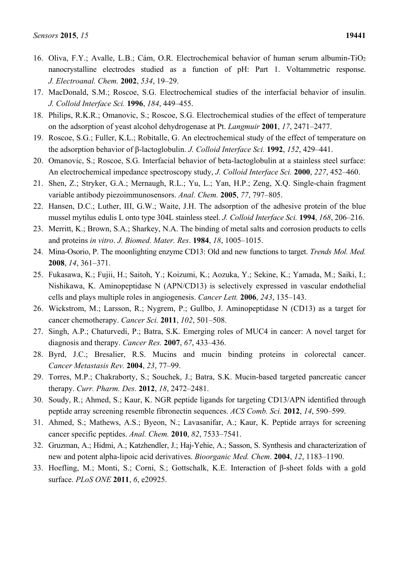- 16. Oliva, F.Y.; Avalle, L.B.; Cám, O.R. Electrochemical behavior of human serum albumin-TiO2 nanocrystalline electrodes studied as a function of pH: Part 1. Voltammetric response. *J. Electroanal. Chem.* **2002**, *534*, 19–29.
- 17. MacDonald, S.M.; Roscoe, S.G. Electrochemical studies of the interfacial behavior of insulin. *J. Colloid Interface Sci.* **1996**, *184*, 449–455.
- 18. Philips, R.K.R.; Omanovic, S.; Roscoe, S.G. Electrochemical studies of the effect of temperature on the adsorption of yeast alcohol dehydrogenase at Pt. *Langmuir* **2001**, *17*, 2471–2477.
- 19. Roscoe, S.G.; Fuller, K.L.; Robitalle, G. An electrochemical study of the effect of temperature on the adsorption behavior of β-lactoglobulin. *J. Colloid Interface Sci.* **1992**, *152*, 429–441.
- 20. Omanovic, S.; Roscoe, S.G. Interfacial behavior of beta-lactoglobulin at a stainless steel surface: An electrochemical impedance spectroscopy study, *J. Colloid Interface Sci.* **2000**, *227*, 452–460.
- 21. Shen, Z.; Stryker, G.A.; Mernaugh, R.L.; Yu, L.; Yan, H.P.; Zeng, X.Q. Single-chain fragment variable antibody piezoimmunosensors. *Anal. Chem.* **2005**, *77*, 797–805.
- 22. Hansen, D.C.; Luther, III, G.W.; Waite, J.H. The adsorption of the adhesive protein of the blue mussel mytilus edulis L onto type 304L stainless steel. *J. Colloid Interface Sci.* **1994**, *168*, 206–216.
- 23. Merritt, K.; Brown, S.A.; Sharkey, N.A. The binding of metal salts and corrosion products to cells and proteins *in vitro*. *J. Biomed. Mater. Res*. **1984**, *18*, 1005–1015.
- 24. Mina-Osorio, P. The moonlighting enzyme CD13: Old and new functions to target. *Trends Mol. Med.* **2008**, *14*, 361–371.
- 25. Fukasawa, K.; Fujii, H.; Saitoh, Y.; Koizumi, K.; Aozuka, Y.; Sekine, K.; Yamada, M.; Saiki, I.; Nishikawa, K. Aminopeptidase N (APN/CD13) is selectively expressed in vascular endothelial cells and plays multiple roles in angiogenesis. *Cancer Lett.* **2006**, *243*, 135–143.
- 26. Wickstrom, M.; Larsson, R.; Nygrem, P.; Gullbo, J. Aminopeptidase N (CD13) as a target for cancer chemotherapy. *Cancer Sci.* **2011**, *102*, 501–508.
- 27. Singh, A.P.; Chaturvedi, P.; Batra, S.K. Emerging roles of MUC4 in cancer: A novel target for diagnosis and therapy. *Cancer Res.* **2007**, *67*, 433–436.
- 28. Byrd, J.C.; Bresalier, R.S. Mucins and mucin binding proteins in colorectal cancer. *Cancer Metastasis Rev.* **2004**, *23*, 77–99.
- 29. Torres, M.P.; Chakraborty, S.; Souchek, J.; Batra, S.K. Mucin-based targeted pancreatic cancer therapy. *Curr. Pharm. Des.* **2012**, *18*, 2472–2481.
- 30. Soudy, R.; Ahmed, S.; Kaur, K. NGR peptide ligands for targeting CD13/APN identified through peptide array screening resemble fibronectin sequences. *ACS Comb. Sci.* **2012**, *14*, 590–599.
- 31. Ahmed, S.; Mathews, A.S.; Byeon, N.; Lavasanifar, A.; Kaur, K. Peptide arrays for screening cancer specific peptides. *Anal. Chem.* **2010**, *82*, 7533–7541.
- 32. Gruzman, A.; Hidmi, A.; Katzhendler, J.; Haj-Yehie, A.; Sasson, S. Synthesis and characterization of new and potent alpha-lipoic acid derivatives. *Bioorganic Med. Chem*. **2004**, *12*, 1183–1190.
- 33. Hoefling, M.; Monti, S.; Corni, S.; Gottschalk, K.E. Interaction of β-sheet folds with a gold surface. *PLoS ONE* **2011**, *6*, e20925.